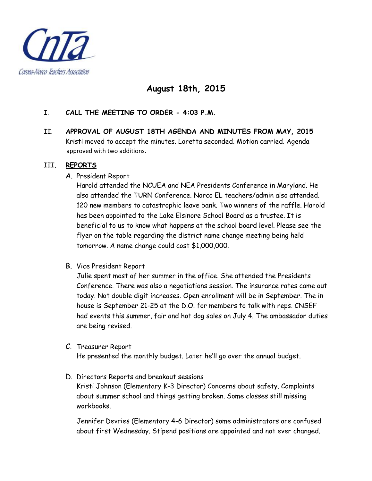

## **August 18th, 2015**

## I. **CALL THE MEETING TO ORDER - 4:03 P.M.**

II. **APPROVAL OF AUGUST 18TH AGENDA AND MINUTES FROM MAY, 2015** Kristi moved to accept the minutes. Loretta seconded. Motion carried. Agenda approved with two additions.

### III. **REPORTS**

A. President Report

Harold attended the NCUEA and NEA Presidents Conference in Maryland. He also attended the TURN Conference. Norco EL teachers/admin also attended. 120 new members to catastrophic leave bank. Two winners of the raffle. Harold has been appointed to the Lake Elsinore School Board as a trustee. It is beneficial to us to know what happens at the school board level. Please see the flyer on the table regarding the district name change meeting being held tomorrow. A name change could cost \$1,000,000.

B. Vice President Report

Julie spent most of her summer in the office. She attended the Presidents Conference. There was also a negotiations session. The insurance rates came out today. Not double digit increases. Open enrollment will be in September. The in house is September 21-25 at the D.O. for members to talk with reps. CNSEF had events this summer, fair and hot dog sales on July 4. The ambassador duties are being revised.

C. Treasurer Report

He presented the monthly budget. Later he'll go over the annual budget.

D. Directors Reports and breakout sessions Kristi Johnson (Elementary K-3 Director) Concerns about safety. Complaints about summer school and things getting broken. Some classes still missing workbooks.

Jennifer Devries (Elementary 4-6 Director) some administrators are confused about first Wednesday. Stipend positions are appointed and not ever changed.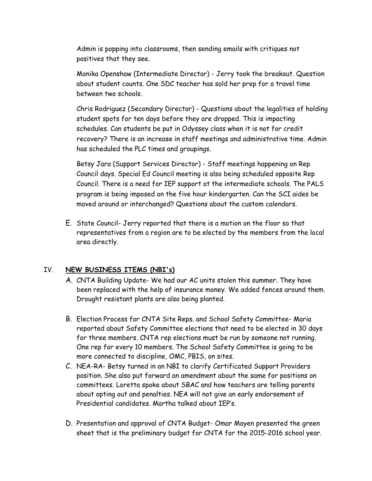Admin is popping into classrooms, then sending emails with critiques not positives that they see.

Monika Openshaw (Intermediate Director) - Jerry took the breakout. Question about student counts. One SDC teacher has sold her prep for a travel time between two schools.

Chris Rodriguez (Secondary Director) - Questions about the legalities of holding student spots for ten days before they are dropped. This is impacting schedules. Can students be put in Odyssey class when it is not for credit recovery? There is an increase in staff meetings and administrative time. Admin has scheduled the PLC times and groupings.

Betsy Jara (Support Services Director) - Staff meetings happening on Rep Council days. Special Ed Council meeting is also being scheduled opposite Rep Council. There is a need for IEP support at the intermediate schools. The PALS program is being imposed on the five hour kindergarten. Can the SCI aides be moved around or interchanged? Questions about the custom calendars.

E. State Council- Jerry reported that there is a motion on the floor so that representatives from a region are to be elected by the members from the local area directly.

## IV. **NEW BUSINESS ITEMS (NBI's)**

- A. CNTA Building Update- We had our AC units stolen this summer. They have been replaced with the help of insurance money. We added fences around them. Drought resistant plants are also being planted.
- B. Election Process for CNTA Site Reps. and School Safety Committee- Maria reported about Safety Committee elections that need to be elected in 30 days for three members. CNTA rep elections must be run by someone not running. One rep for every 10 members. The School Safety Committee is going to be more connected to discipline, OMC, PBIS, on sites.
- C. NEA-RA- Betsy turned in an NBI to clarify Certificated Support Providers position. She also put forward an amendment about the same for positions on committees. Loretta spoke about SBAC and how teachers are telling parents about opting out and penalties. NEA will not give an early endorsement of Presidential candidates. Martha talked about IEP's.
- D. Presentation and approval of CNTA Budget- Omar Mayen presented the green sheet that is the preliminary budget for CNTA for the 2015-2016 school year.